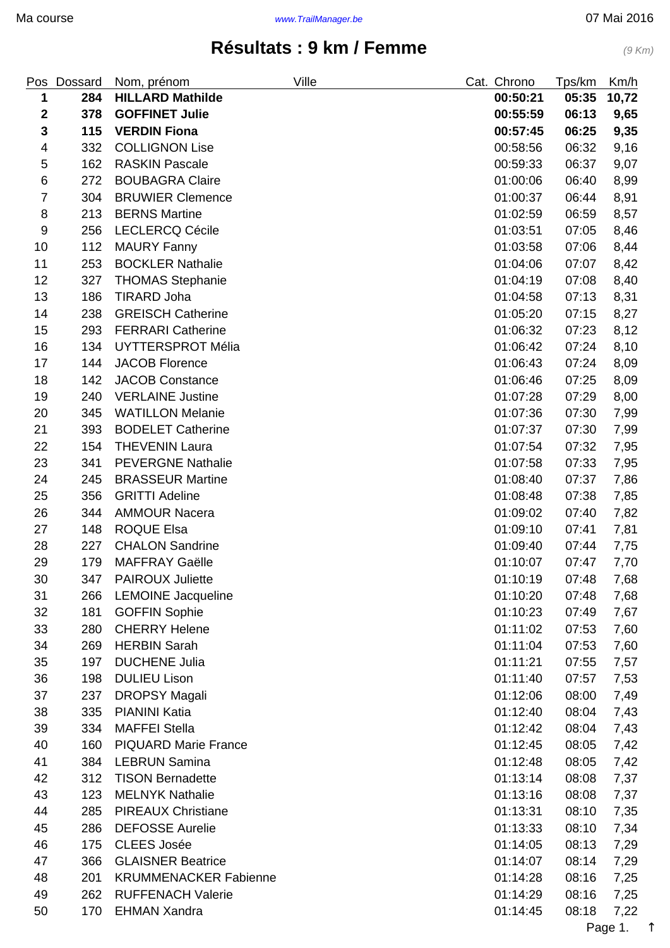## **Résultats : 9 km / Femme** (9 Km)

<span id="page-0-0"></span>

| Pos              | Dossard | Nom, prénom                  | Ville | Cat. Chrono | Tps/km | Km/h  |
|------------------|---------|------------------------------|-------|-------------|--------|-------|
| 1                | 284     | <b>HILLARD Mathilde</b>      |       | 00:50:21    | 05:35  | 10,72 |
| $\boldsymbol{2}$ | 378     | <b>GOFFINET Julie</b>        |       | 00:55:59    | 06:13  | 9,65  |
| $\mathbf 3$      | 115     | <b>VERDIN Fiona</b>          |       | 00:57:45    | 06:25  | 9,35  |
| 4                | 332     | <b>COLLIGNON Lise</b>        |       | 00:58:56    | 06:32  | 9,16  |
| 5                | 162     | <b>RASKIN Pascale</b>        |       | 00:59:33    | 06:37  | 9,07  |
| 6                | 272     | <b>BOUBAGRA Claire</b>       |       | 01:00:06    | 06:40  | 8,99  |
| $\overline{7}$   | 304     | <b>BRUWIER Clemence</b>      |       | 01:00:37    | 06:44  | 8,91  |
| $\bf 8$          | 213     | <b>BERNS Martine</b>         |       | 01:02:59    | 06:59  | 8,57  |
| $\boldsymbol{9}$ | 256     | <b>LECLERCQ Cécile</b>       |       | 01:03:51    | 07:05  | 8,46  |
| 10               | 112     | <b>MAURY Fanny</b>           |       | 01:03:58    | 07:06  | 8,44  |
| 11               | 253     | <b>BOCKLER Nathalie</b>      |       | 01:04:06    | 07:07  | 8,42  |
| 12               | 327     | <b>THOMAS Stephanie</b>      |       | 01:04:19    | 07:08  | 8,40  |
| 13               | 186     | <b>TIRARD Joha</b>           |       | 01:04:58    | 07:13  | 8,31  |
| 14               | 238     | <b>GREISCH Catherine</b>     |       | 01:05:20    | 07:15  | 8,27  |
| 15               | 293     | <b>FERRARI Catherine</b>     |       | 01:06:32    | 07:23  | 8,12  |
| 16               | 134     | <b>UYTTERSPROT Mélia</b>     |       | 01:06:42    | 07:24  | 8,10  |
| 17               | 144     | <b>JACOB Florence</b>        |       | 01:06:43    | 07:24  | 8,09  |
| 18               | 142     | <b>JACOB Constance</b>       |       | 01:06:46    | 07:25  | 8,09  |
| 19               | 240     | <b>VERLAINE Justine</b>      |       | 01:07:28    | 07:29  | 8,00  |
| 20               | 345     | <b>WATILLON Melanie</b>      |       | 01:07:36    | 07:30  | 7,99  |
| 21               | 393     | <b>BODELET Catherine</b>     |       | 01:07:37    | 07:30  | 7,99  |
| 22               | 154     | <b>THEVENIN Laura</b>        |       | 01:07:54    | 07:32  | 7,95  |
| 23               | 341     | <b>PEVERGNE Nathalie</b>     |       | 01:07:58    | 07:33  | 7,95  |
| 24               | 245     | <b>BRASSEUR Martine</b>      |       | 01:08:40    | 07:37  | 7,86  |
| 25               | 356     | <b>GRITTI Adeline</b>        |       | 01:08:48    | 07:38  | 7,85  |
| 26               | 344     | <b>AMMOUR Nacera</b>         |       | 01:09:02    | 07:40  | 7,82  |
| 27               | 148     | <b>ROQUE Elsa</b>            |       | 01:09:10    | 07:41  | 7,81  |
| 28               | 227     | <b>CHALON Sandrine</b>       |       | 01:09:40    | 07:44  | 7,75  |
| 29               | 179     | <b>MAFFRAY Gaëlle</b>        |       | 01:10:07    | 07:47  | 7,70  |
| 30               |         | 347 PAIROUX Juliette         |       | 01:10:19    | 07:48  | 7,68  |
| 31               | 266     | <b>LEMOINE Jacqueline</b>    |       | 01:10:20    | 07:48  | 7,68  |
| 32               | 181     | <b>GOFFIN Sophie</b>         |       | 01:10:23    | 07:49  | 7,67  |
| 33               | 280     | <b>CHERRY Helene</b>         |       | 01:11:02    | 07:53  | 7,60  |
| 34               | 269     | <b>HERBIN Sarah</b>          |       | 01:11:04    | 07:53  | 7,60  |
| 35               | 197     | <b>DUCHENE Julia</b>         |       | 01:11:21    | 07:55  | 7,57  |
| 36               | 198     | <b>DULIEU Lison</b>          |       | 01:11:40    | 07:57  | 7,53  |
| 37               | 237     | <b>DROPSY Magali</b>         |       | 01:12:06    | 08:00  | 7,49  |
| 38               | 335     | <b>PIANINI Katia</b>         |       | 01:12:40    | 08:04  | 7,43  |
| 39               | 334     | <b>MAFFEI Stella</b>         |       | 01:12:42    | 08:04  | 7,43  |
| 40               | 160     | <b>PIQUARD Marie France</b>  |       | 01:12:45    | 08:05  | 7,42  |
| 41               | 384     | <b>LEBRUN Samina</b>         |       | 01:12:48    | 08:05  | 7,42  |
| 42               | 312     | <b>TISON Bernadette</b>      |       | 01:13:14    | 08:08  | 7,37  |
| 43               | 123     | <b>MELNYK Nathalie</b>       |       | 01:13:16    | 08:08  | 7,37  |
| 44               | 285     | <b>PIREAUX Christiane</b>    |       | 01:13:31    | 08:10  | 7,35  |
| 45               | 286     | <b>DEFOSSE Aurelie</b>       |       | 01:13:33    | 08:10  | 7,34  |
| 46               | 175     | <b>CLEES Josée</b>           |       | 01:14:05    | 08:13  | 7,29  |
| 47               | 366     | <b>GLAISNER Beatrice</b>     |       | 01:14:07    | 08:14  | 7,29  |
| 48               | 201     | <b>KRUMMENACKER Fabienne</b> |       | 01:14:28    | 08:16  | 7,25  |
| 49               | 262     | <b>RUFFENACH Valerie</b>     |       | 01:14:29    | 08:16  | 7,25  |
| 50               | 170     | <b>EHMAN Xandra</b>          |       | 01:14:45    | 08:18  | 7,22  |

Page 1. ↑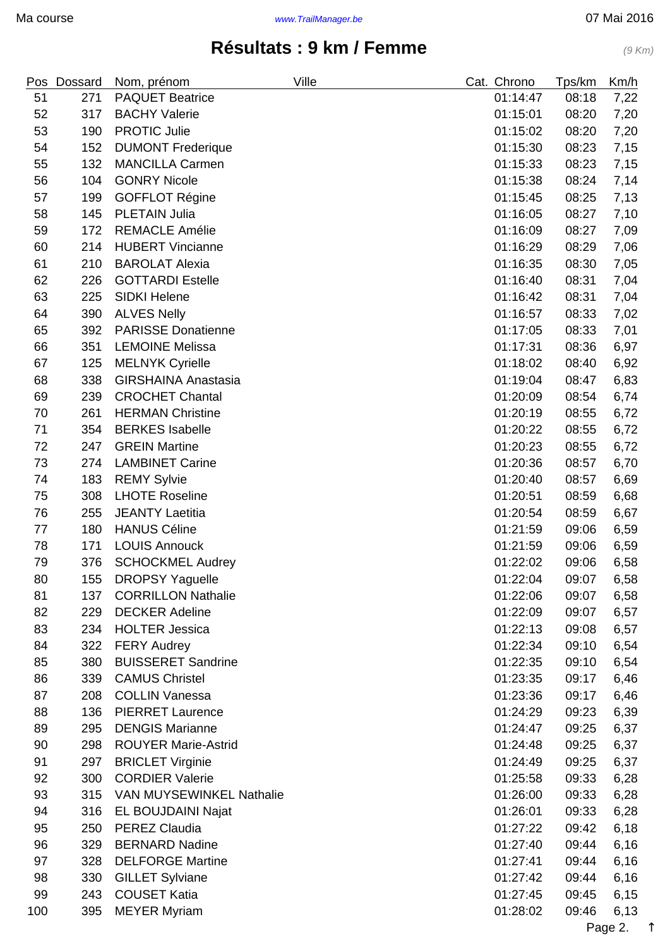## **Résultats : 9 km / Femme** (9 Km)

|     | Pos Dossard | Nom, prénom                     | Ville | Cat. Chrono | Tps/km | Km/h |
|-----|-------------|---------------------------------|-------|-------------|--------|------|
| 51  | 271         | <b>PAQUET Beatrice</b>          |       | 01:14:47    | 08:18  | 7,22 |
| 52  | 317         | <b>BACHY Valerie</b>            |       | 01:15:01    | 08:20  | 7,20 |
| 53  | 190         | <b>PROTIC Julie</b>             |       | 01:15:02    | 08:20  | 7,20 |
| 54  | 152         | <b>DUMONT Frederique</b>        |       | 01:15:30    | 08:23  | 7,15 |
| 55  | 132         | <b>MANCILLA Carmen</b>          |       | 01:15:33    | 08:23  | 7,15 |
| 56  | 104         | <b>GONRY Nicole</b>             |       | 01:15:38    | 08:24  | 7,14 |
| 57  | 199         | <b>GOFFLOT Régine</b>           |       | 01:15:45    | 08:25  | 7,13 |
| 58  | 145         | <b>PLETAIN Julia</b>            |       | 01:16:05    | 08:27  | 7,10 |
| 59  | 172         | <b>REMACLE Amélie</b>           |       | 01:16:09    | 08:27  | 7,09 |
| 60  | 214         | <b>HUBERT Vincianne</b>         |       | 01:16:29    | 08:29  | 7,06 |
| 61  | 210         | <b>BAROLAT Alexia</b>           |       | 01:16:35    | 08:30  | 7,05 |
| 62  | 226         | <b>GOTTARDI Estelle</b>         |       | 01:16:40    | 08:31  | 7,04 |
| 63  | 225         | <b>SIDKI Helene</b>             |       | 01:16:42    | 08:31  | 7,04 |
| 64  | 390         | <b>ALVES Nelly</b>              |       | 01:16:57    | 08:33  | 7,02 |
| 65  | 392         | <b>PARISSE Donatienne</b>       |       | 01:17:05    | 08:33  | 7,01 |
| 66  | 351         | <b>LEMOINE Melissa</b>          |       | 01:17:31    | 08:36  | 6,97 |
| 67  | 125         | <b>MELNYK Cyrielle</b>          |       | 01:18:02    | 08:40  | 6,92 |
| 68  | 338         | <b>GIRSHAINA Anastasia</b>      |       | 01:19:04    | 08:47  | 6,83 |
| 69  | 239         | <b>CROCHET Chantal</b>          |       | 01:20:09    | 08:54  | 6,74 |
| 70  | 261         | <b>HERMAN Christine</b>         |       | 01:20:19    | 08:55  | 6,72 |
| 71  | 354         | <b>BERKES</b> Isabelle          |       | 01:20:22    | 08:55  | 6,72 |
| 72  | 247         | <b>GREIN Martine</b>            |       | 01:20:23    | 08:55  | 6,72 |
| 73  | 274         | <b>LAMBINET Carine</b>          |       | 01:20:36    | 08:57  | 6,70 |
| 74  | 183         | <b>REMY Sylvie</b>              |       | 01:20:40    | 08:57  | 6,69 |
| 75  | 308         | <b>LHOTE Roseline</b>           |       | 01:20:51    | 08:59  | 6,68 |
| 76  | 255         | <b>JEANTY Laetitia</b>          |       | 01:20:54    | 08:59  | 6,67 |
| 77  | 180         | <b>HANUS Céline</b>             |       | 01:21:59    | 09:06  | 6,59 |
| 78  | 171         | <b>LOUIS Annouck</b>            |       | 01:21:59    | 09:06  | 6,59 |
| 79  | 376         | <b>SCHOCKMEL Audrey</b>         |       | 01:22:02    | 09:06  | 6,58 |
| 80  | 155         | <b>DROPSY Yaguelle</b>          |       | 01:22:04    | 09:07  | 6,58 |
| 81  | 137         | <b>CORRILLON Nathalie</b>       |       | 01:22:06    | 09:07  | 6,58 |
| 82  | 229         | <b>DECKER Adeline</b>           |       | 01:22:09    | 09:07  | 6,57 |
| 83  | 234         | <b>HOLTER Jessica</b>           |       | 01:22:13    | 09:08  | 6,57 |
| 84  | 322         | <b>FERY Audrey</b>              |       | 01:22:34    | 09:10  | 6,54 |
| 85  | 380         | <b>BUISSERET Sandrine</b>       |       | 01:22:35    | 09:10  | 6,54 |
| 86  | 339         | <b>CAMUS Christel</b>           |       | 01:23:35    | 09:17  | 6,46 |
| 87  | 208         | <b>COLLIN Vanessa</b>           |       | 01:23:36    | 09:17  | 6,46 |
| 88  | 136         | <b>PIERRET Laurence</b>         |       | 01:24:29    | 09:23  | 6,39 |
| 89  | 295         | <b>DENGIS Marianne</b>          |       | 01:24:47    | 09:25  | 6,37 |
| 90  | 298         | <b>ROUYER Marie-Astrid</b>      |       | 01:24:48    | 09:25  | 6,37 |
| 91  | 297         | <b>BRICLET Virginie</b>         |       | 01:24:49    | 09:25  | 6,37 |
| 92  | 300         | <b>CORDIER Valerie</b>          |       | 01:25:58    | 09:33  | 6,28 |
| 93  | 315         | <b>VAN MUYSEWINKEL Nathalie</b> |       | 01:26:00    | 09:33  | 6,28 |
| 94  | 316         | EL BOUJDAINI Najat              |       | 01:26:01    | 09:33  | 6,28 |
| 95  | 250         | <b>PEREZ Claudia</b>            |       | 01:27:22    | 09:42  | 6,18 |
| 96  | 329         | <b>BERNARD Nadine</b>           |       | 01:27:40    | 09:44  | 6,16 |
| 97  | 328         | <b>DELFORGE Martine</b>         |       | 01:27:41    | 09:44  | 6,16 |
| 98  | 330         | <b>GILLET Sylviane</b>          |       | 01:27:42    | 09:44  | 6,16 |
| 99  | 243         | <b>COUSET Katia</b>             |       | 01:27:45    | 09:45  | 6,15 |
| 100 | 395         | <b>MEYER Myriam</b>             |       | 01:28:02    | 09:46  | 6,13 |